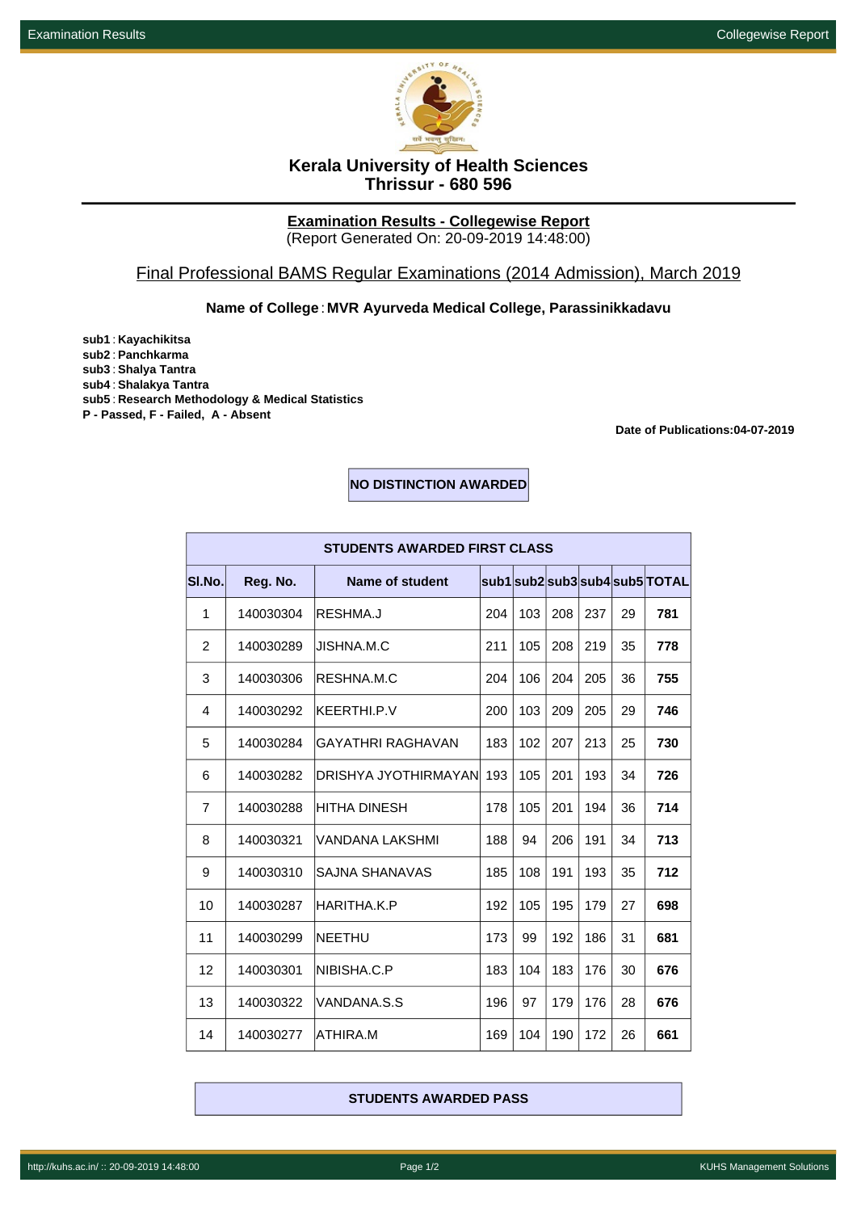

# **Kerala University of Health Sciences Thrissur - 680 596**

#### **Examination Results - Collegewise Report** (Report Generated On: 20-09-2019 14:48:00)

## Final Professional BAMS Regular Examinations (2014 Admission), March 2019

## **Name of College**: **MVR Ayurveda Medical College, Parassinikkadavu**

**sub1** : **Kayachikitsa sub2** : **Panchkarma sub3** : **Shalya Tantra sub4** : **Shalakya Tantra sub5** : **Research Methodology & Medical Statistics P - Passed, F - Failed, A - Absent**

**Date of Publications:04-07-2019**

## **NO DISTINCTION AWARDED**

| <b>STUDENTS AWARDED FIRST CLASS</b> |           |                       |     |     |     |     |    |                                |
|-------------------------------------|-----------|-----------------------|-----|-----|-----|-----|----|--------------------------------|
| SI.No.                              | Reg. No.  | Name of student       |     |     |     |     |    | sub1 sub2 sub3 sub4 sub5 TOTAL |
| 1                                   | 140030304 | RESHMA.J              | 204 | 103 | 208 | 237 | 29 | 781                            |
| $\overline{2}$                      | 140030289 | JISHNA.M.C            | 211 | 105 | 208 | 219 | 35 | 778                            |
| 3                                   | 140030306 | RESHNA.M.C            | 204 | 106 | 204 | 205 | 36 | 755                            |
| 4                                   | 140030292 | KEERTHI.P.V           | 200 | 103 | 209 | 205 | 29 | 746                            |
| 5                                   | 140030284 | GAYATHRI RAGHAVAN     | 183 | 102 | 207 | 213 | 25 | 730                            |
| 6                                   | 140030282 | DRISHYA JYOTHIRMAYANI | 193 | 105 | 201 | 193 | 34 | 726                            |
| $\overline{7}$                      | 140030288 | HITHA DINESH          | 178 | 105 | 201 | 194 | 36 | 714                            |
| 8                                   | 140030321 | VANDANA LAKSHMI       | 188 | 94  | 206 | 191 | 34 | 713                            |
| 9                                   | 140030310 | SAJNA SHANAVAS        | 185 | 108 | 191 | 193 | 35 | 712                            |
| 10                                  | 140030287 | HARITHA.K.P           | 192 | 105 | 195 | 179 | 27 | 698                            |
| 11                                  | 140030299 | NEETHU                | 173 | 99  | 192 | 186 | 31 | 681                            |
| 12                                  | 140030301 | NIBISHA.C.P           | 183 | 104 | 183 | 176 | 30 | 676                            |
| 13                                  | 140030322 | VANDANA.S.S           | 196 | 97  | 179 | 176 | 28 | 676                            |
| 14                                  | 140030277 | ATHIRA.M              | 169 | 104 | 190 | 172 | 26 | 661                            |

#### **STUDENTS AWARDED PASS**